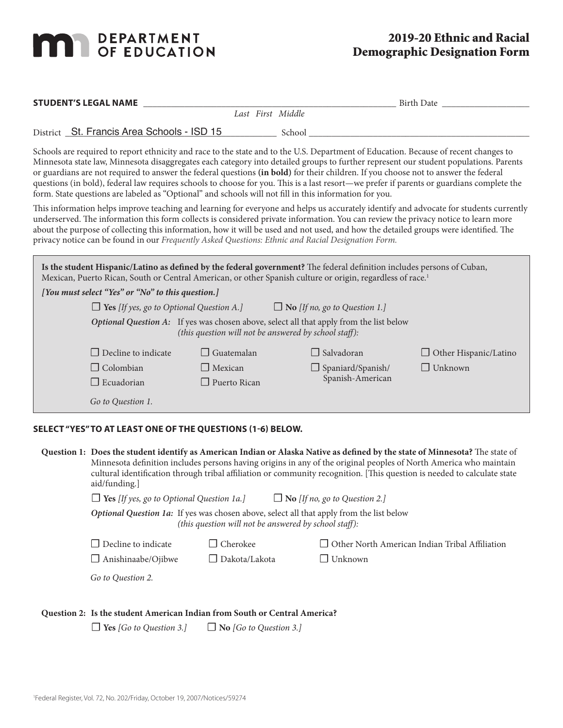## **MAR** DEPARTMENT

## 2019-20 Ethnic and Racial Demographic Designation Form

| <b>STUDENT'S LEGAL NAME</b>                |                   | Birth Date |
|--------------------------------------------|-------------------|------------|
|                                            | Last First Middle |            |
| District St. Francis Area Schools - ISD 15 | School            |            |

Schools are required to report ethnicity and race to the state and to the U.S. Department of Education. Because of recent changes to Minnesota state law, Minnesota disaggregates each category into detailed groups to further represent our student populations. Parents or guardians are not required to answer the federal questions **(in bold)** for their children. If you choose not to answer the federal questions (in bold), federal law requires schools to choose for you. Tis is a last resort—we prefer if parents or guardians complete the form. State questions are labeled as "Optional" and schools will not fll in this information for you.

Tis information helps improve teaching and learning for everyone and helps us accurately identify and advocate for students currently underserved. The information this form collects is considered private information. You can review the privacy notice to learn more about the purpose of collecting this information, how it will be used and not used, and how the detailed groups were identified. The privacy notice can be found in our *Frequently Asked Questions: Ethnic and Racial Designation Form.* 

| Is the student Hispanic/Latino as defined by the federal government? The federal definition includes persons of Cuban,<br>Mexican, Puerto Rican, South or Central American, or other Spanish culture or origin, regardless of race. <sup>1</sup> |                                                                                                                                                  |                     |                          |                              |  |  |
|--------------------------------------------------------------------------------------------------------------------------------------------------------------------------------------------------------------------------------------------------|--------------------------------------------------------------------------------------------------------------------------------------------------|---------------------|--------------------------|------------------------------|--|--|
| [You must select "Yes" or "No" to this question.]                                                                                                                                                                                                |                                                                                                                                                  |                     |                          |                              |  |  |
| $\Box$ Yes [If yes, go to Optional Question A.]<br>$\Box$ No [If no, go to Question 1.]                                                                                                                                                          |                                                                                                                                                  |                     |                          |                              |  |  |
|                                                                                                                                                                                                                                                  | Optional Question A: If yes was chosen above, select all that apply from the list below<br>(this question will not be answered by school staff): |                     |                          |                              |  |  |
|                                                                                                                                                                                                                                                  | $\Box$ Decline to indicate                                                                                                                       | $\Box$ Guatemalan   | $\Box$ Salvadoran        | $\Box$ Other Hispanic/Latino |  |  |
|                                                                                                                                                                                                                                                  | $\Box$ Colombian                                                                                                                                 | $\Box$ Mexican      | $\Box$ Spaniard/Spanish/ | $\Box$ Unknown               |  |  |
|                                                                                                                                                                                                                                                  | $\Box$ Ecuadorian                                                                                                                                | $\Box$ Puerto Rican | Spanish-American         |                              |  |  |
|                                                                                                                                                                                                                                                  | Go to Ouestion 1.                                                                                                                                |                     |                          |                              |  |  |

## **SELECT "YES"TO AT LEAST ONE OF THE QUESTIONS (1-6) BELOW.**

 ☐ **Yes** *[If yes, go to Optional Question 1a.]* ☐ **No** *[If no, go to Question 2.]*  Question 1: Does the student identify as American Indian or Alaska Native as defined by the state of Minnesota? The state of Minnesota defnition includes persons having origins in any of the original peoples of North America who maintain cultural identifcation through tribal afliation or community recognition. [Tis question is needed to calculate state aid/funding.] *Optional Question 1a:* If yes was chosen above, select all that apply from the list below *(this question will not be answered by school staf):*  ☐ Decline to indicate ☐ Cherokee ☐ Other North American Indian Tribal Afliation ☐ Anishinaabe/Ojibwe ☐ Dakota/Lakota ☐ Unknown *Go to Question 2.*  **Question 2: Is the student American Indian from South or Central America?** 

☐ **Yes** *[Go to Question 3.]* ☐ **No** *[Go to Question 3.]*